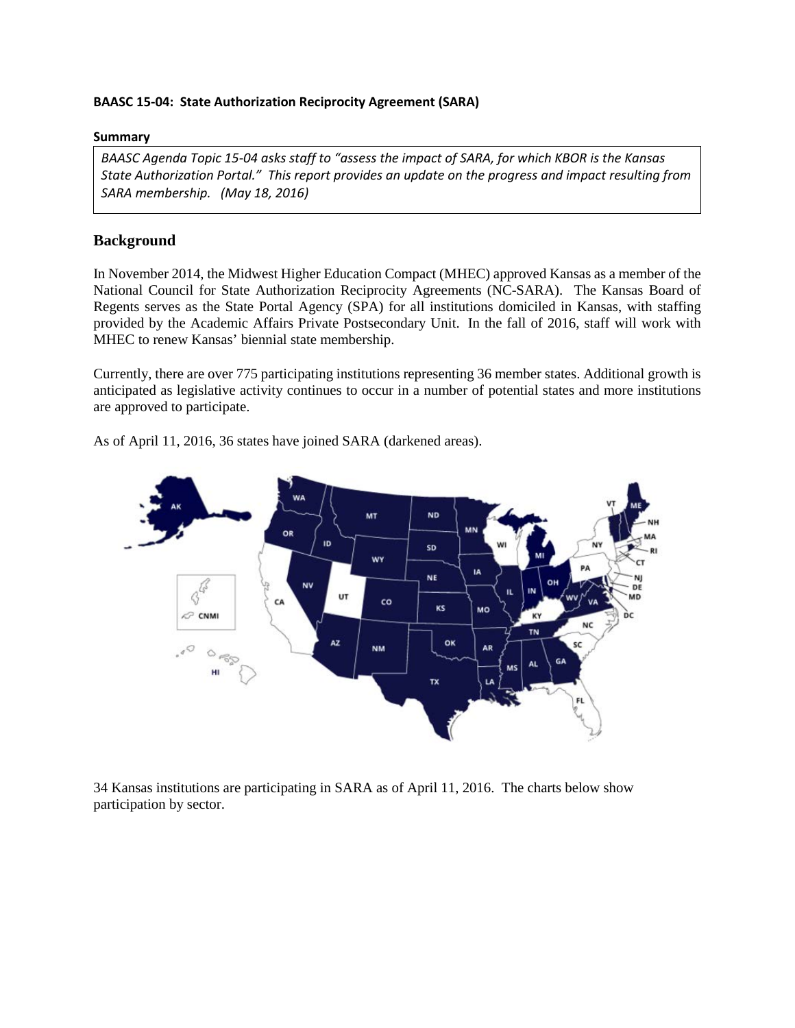## **BAASC 15-04: State Authorization Reciprocity Agreement (SARA)**

## **Summary**

*BAASC Agenda Topic 15-04 asks staff to "assess the impact of SARA, for which KBOR is the Kansas State Authorization Portal." This report provides an update on the progress and impact resulting from SARA membership. (May 18, 2016)*

# **Background**

In November 2014, the Midwest Higher Education Compact (MHEC) approved Kansas as a member of the National Council for State Authorization Reciprocity Agreements (NC-SARA). The Kansas Board of Regents serves as the State Portal Agency (SPA) for all institutions domiciled in Kansas, with staffing provided by the Academic Affairs Private Postsecondary Unit. In the fall of 2016, staff will work with MHEC to renew Kansas' biennial state membership.

Currently, there are over 775 participating institutions representing 36 member states. Additional growth is anticipated as legislative activity continues to occur in a number of potential states and more institutions are approved to participate.



As of April 11, 2016, 36 states have joined SARA (darkened areas).

34 Kansas institutions are participating in SARA as of April 11, 2016. The charts below show participation by sector.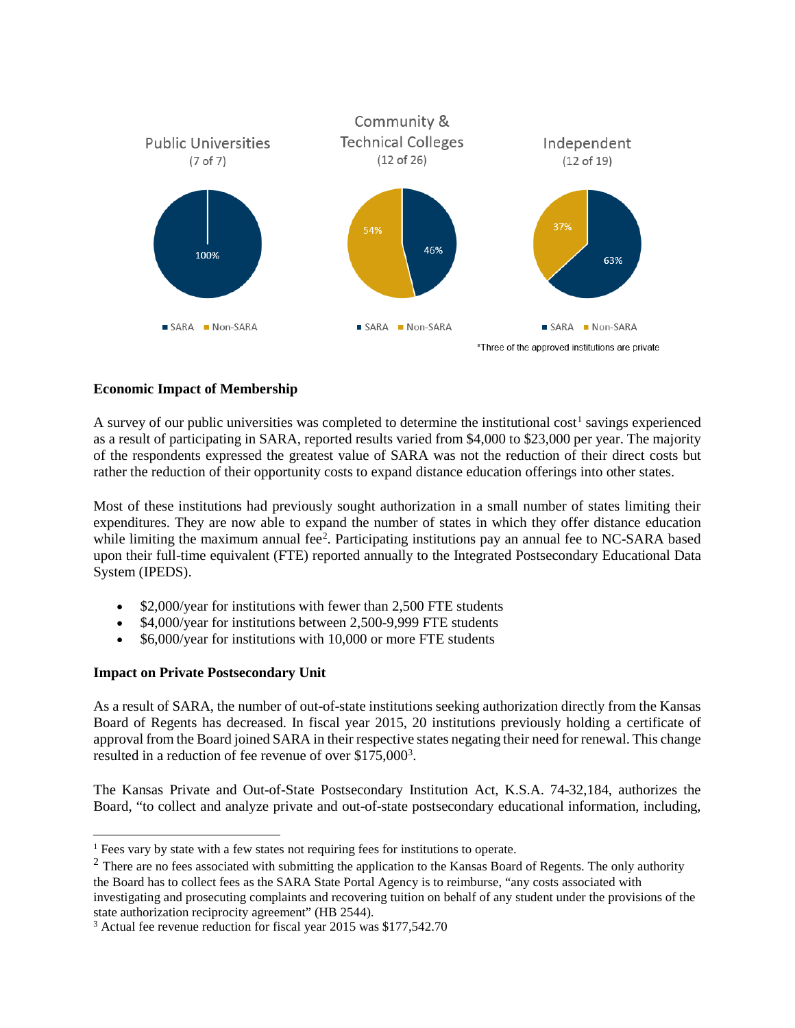

## **Economic Impact of Membership**

A survey of our public universities was completed to determine the institutional  $cost<sup>1</sup>$  $cost<sup>1</sup>$  $cost<sup>1</sup>$  savings experienced as a result of participating in SARA, reported results varied from \$4,000 to \$23,000 per year. The majority of the respondents expressed the greatest value of SARA was not the reduction of their direct costs but rather the reduction of their opportunity costs to expand distance education offerings into other states.

Most of these institutions had previously sought authorization in a small number of states limiting their expenditures. They are now able to expand the number of states in which they offer distance education while limiting the maximum annual fee<sup>[2](#page-1-1)</sup>. Participating institutions pay an annual fee to NC-SARA based upon their full-time equivalent (FTE) reported annually to the Integrated Postsecondary Educational Data System (IPEDS).

- \$2,000/year for institutions with fewer than 2,500 FTE students
- \$4,000/year for institutions between 2,500-9,999 FTE students
- \$6,000/year for institutions with 10,000 or more FTE students

## **Impact on Private Postsecondary Unit**

As a result of SARA, the number of out-of-state institutions seeking authorization directly from the Kansas Board of Regents has decreased. In fiscal year 2015, 20 institutions previously holding a certificate of approval from the Board joined SARA in their respective states negating their need for renewal. This change resulted in a reduction of fee revenue of over \$175,000<sup>[3](#page-1-2)</sup>.

The Kansas Private and Out-of-State Postsecondary Institution Act, K.S.A. 74-32,184, authorizes the Board, "to collect and analyze private and out-of-state postsecondary educational information, including,

<span id="page-1-0"></span><sup>&</sup>lt;sup>1</sup> Fees vary by state with a few states not requiring fees for institutions to operate.

<span id="page-1-1"></span> $2$  There are no fees associated with submitting the application to the Kansas Board of Regents. The only authority the Board has to collect fees as the SARA State Portal Agency is to reimburse, "any costs associated with investigating and prosecuting complaints and recovering tuition on behalf of any student under the provisions of the state authorization reciprocity agreement" (HB 2544).

<span id="page-1-2"></span><sup>3</sup> Actual fee revenue reduction for fiscal year 2015 was \$177,542.70